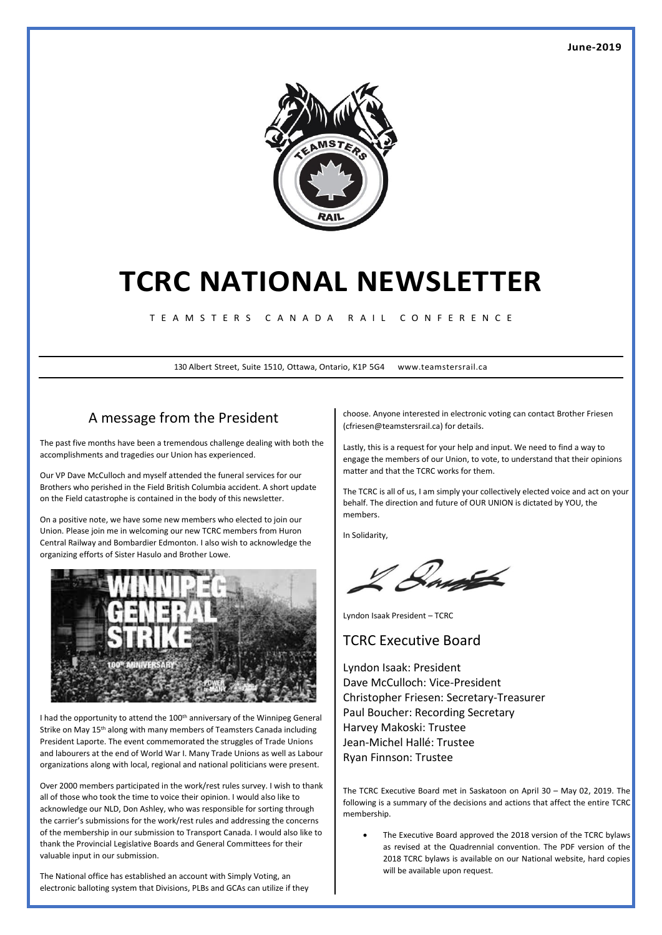

# **TCRC NATIONAL NEWSLETTER**

T E A M S T E R S C A N A D A R A I L C O N F E R E N C E

130 Albert Street, Suite 1510, Ottawa, Ontario, K1P 5G4 www.teamstersrail.ca

## A message from the President

The past five months have been a tremendous challenge dealing with both the accomplishments and tragedies our Union has experienced.

Our VP Dave McCulloch and myself attended the funeral services for our Brothers who perished in the Field British Columbia accident. A short update on the Field catastrophe is contained in the body of this newsletter.

On a positive note, we have some new members who elected to join our Union. Please join me in welcoming our new TCRC members from Huron Central Railway and Bombardier Edmonton. I also wish to acknowledge the organizing efforts of Sister Hasulo and Brother Lowe.



I had the opportunity to attend the 100<sup>th</sup> anniversary of the Winnipeg General Strike on May 15th along with many members of Teamsters Canada including President Laporte. The event commemorated the struggles of Trade Unions and labourers at the end of World War I. Many Trade Unions as well as Labour organizations along with local, regional and national politicians were present.

Over 2000 members participated in the work/rest rules survey. I wish to thank all of those who took the time to voice their opinion. I would also like to acknowledge our NLD, Don Ashley, who was responsible for sorting through the carrier's submissions for the work/rest rules and addressing the concerns of the membership in our submission to Transport Canada. I would also like to thank the Provincial Legislative Boards and General Committees for their valuable input in our submission.

The National office has established an account with Simply Voting, an electronic balloting system that Divisions, PLBs and GCAs can utilize if they choose. Anyone interested in electronic voting can contact Brother Friesen (cfriesen@teamstersrail.ca) for details.

Lastly, this is a request for your help and input. We need to find a way to engage the members of our Union, to vote, to understand that their opinions matter and that the TCRC works for them.

The TCRC is all of us, I am simply your collectively elected voice and act on your behalf. The direction and future of OUR UNION is dictated by YOU, the members.

In Solidarity,

Dayste

Lyndon Isaak President – TCRC

#### TCRC Executive Board

Lyndon Isaak: President Dave McCulloch: Vice-President Christopher Friesen: Secretary-Treasurer Paul Boucher: Recording Secretary Harvey Makoski: Trustee Jean-Michel Hallé: Trustee Ryan Finnson: Trustee

The TCRC Executive Board met in Saskatoon on April 30 – May 02, 2019. The following is a summary of the decisions and actions that affect the entire TCRC membership.

• The Executive Board approved the 2018 version of the TCRC bylaws as revised at the Quadrennial convention. The PDF version of the 2018 TCRC bylaws is available on our National website, hard copies will be available upon request.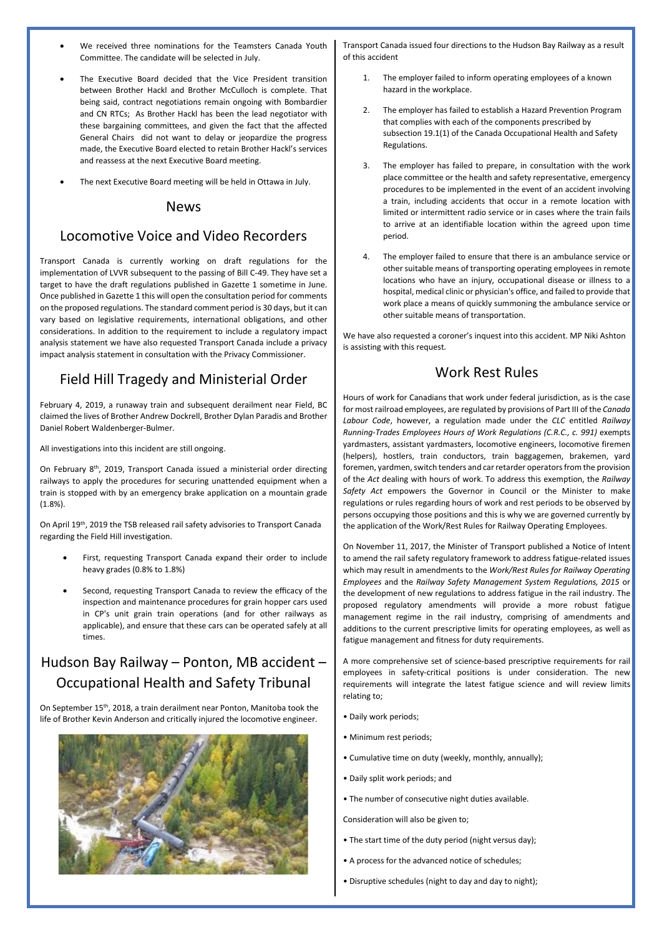- We received three nominations for the Teamsters Canada Youth Committee. The candidate will be selected in July.
- The Executive Board decided that the Vice President transition between Brother Hackl and Brother McCulloch is complete. That being said, contract negotiations remain ongoing with Bombardier and CN RTCs; As Brother Hackl has been the lead negotiator with these bargaining committees, and given the fact that the affected General Chairs did not want to delay or jeopardize the progress made, the Executive Board elected to retain Brother Hackl's services and reassess at the next Executive Board meeting.
- The next Executive Board meeting will be held in Ottawa in July.

#### News

#### Locomotive Voice and Video Recorders

Transport Canada is currently working on draft regulations for the implementation of LVVR subsequent to the passing of Bill C-49. They have set a target to have the draft regulations published in Gazette 1 sometime in June. Once published in Gazette 1 this will open the consultation period for comments on the proposed regulations. The standard comment period is 30 days, but it can vary based on legislative requirements, international obligations, and other considerations. In addition to the requirement to include a regulatory impact analysis statement we have also requested Transport Canada include a privacy impact analysis statement in consultation with the Privacy Commissioner.

#### Field Hill Tragedy and Ministerial Order

February 4, 2019, a runaway train and subsequent derailment near Field, BC claimed the lives of Brother Andrew Dockrell, Brother Dylan Paradis and Brother Daniel Robert Waldenberger-Bulmer.

All investigations into this incident are still ongoing.

On February 8th, 2019, Transport Canada issued a ministerial order directing railways to apply the procedures for securing unattended equipment when a train is stopped with by an emergency brake application on a mountain grade (1.8%).

On April 19<sup>th</sup>, 2019 the TSB released rail safety advisories to Transport Canada regarding the Field Hill investigation.

- First, requesting Transport Canada expand their order to include heavy grades (0.8% to 1.8%)
- Second, requesting Transport Canada to review the efficacy of the inspection and maintenance procedures for grain hopper cars used in CP's unit grain train operations (and for other railways as applicable), and ensure that these cars can be operated safely at all times.

## Hudson Bay Railway – Ponton, MB accident – Occupational Health and Safety Tribunal

On September 15th, 2018, a train derailment near Ponton, Manitoba took the life of Brother Kevin Anderson and critically injured the locomotive engineer.



Transport Canada issued four directions to the Hudson Bay Railway as a result of this accident

- The employer failed to inform operating employees of a known hazard in the workplace.
- 2. The employer has failed to establish a Hazard Prevention Program that complies with each of the components prescribed by subsection 19.1(1) of the Canada Occupational Health and Safety Regulations.
- 3. The employer has failed to prepare, in consultation with the work place committee or the health and safety representative, emergency procedures to be implemented in the event of an accident involving a train, including accidents that occur in a remote location with limited or intermittent radio service or in cases where the train fails to arrive at an identifiable location within the agreed upon time period.
- 4. The employer failed to ensure that there is an ambulance service or other suitable means of transporting operating employees in remote locations who have an injury, occupational disease or illness to a hospital, medical clinic or physician's office, and failed to provide that work place a means of quickly summoning the ambulance service or other suitable means of transportation.

We have also requested a coroner's inquest into this accident. MP Niki Ashton is assisting with this request.

#### Work Rest Rules

Hours of work for Canadians that work under federal jurisdiction, as is the case for most railroad employees, are regulated by provisions of Part III of the *Canada Labour Code*, however, a regulation made under the *CLC* entitled *Railway Running-Trades Employees Hours of Work Regulations (C.R.C., c. 991)* exempts yardmasters, assistant yardmasters, locomotive engineers, locomotive firemen (helpers), hostlers, train conductors, train baggagemen, brakemen, yard foremen, yardmen, switch tenders and car retarder operators from the provision of the *Act* dealing with hours of work. To address this exemption, the *Railway Safety Act* empowers the Governor in Council or the Minister to make regulations or rules regarding hours of work and rest periods to be observed by persons occupying those positions and this is why we are governed currently by the application of the Work/Rest Rules for Railway Operating Employees.

On November 11, 2017, the Minister of Transport published a Notice of Intent to amend the rail safety regulatory framework to address fatigue-related issues which may result in amendments to the *Work/Rest Rules for Railway Operating Employees* and the *Railway Safety Management System Regulations, 2015* or the development of new regulations to address fatigue in the rail industry. The proposed regulatory amendments will provide a more robust fatigue management regime in the rail industry, comprising of amendments and additions to the current prescriptive limits for operating employees, as well as fatigue management and fitness for duty requirements.

A more comprehensive set of science-based prescriptive requirements for rail employees in safety-critical positions is under consideration. The new requirements will integrate the latest fatigue science and will review limits relating to;

- Daily work periods;
- Minimum rest periods;
- Cumulative time on duty (weekly, monthly, annually);
- Daily split work periods; and
- The number of consecutive night duties available.

Consideration will also be given to;

- The start time of the duty period (night versus day);
- A process for the advanced notice of schedules;
- Disruptive schedules (night to day and day to night);